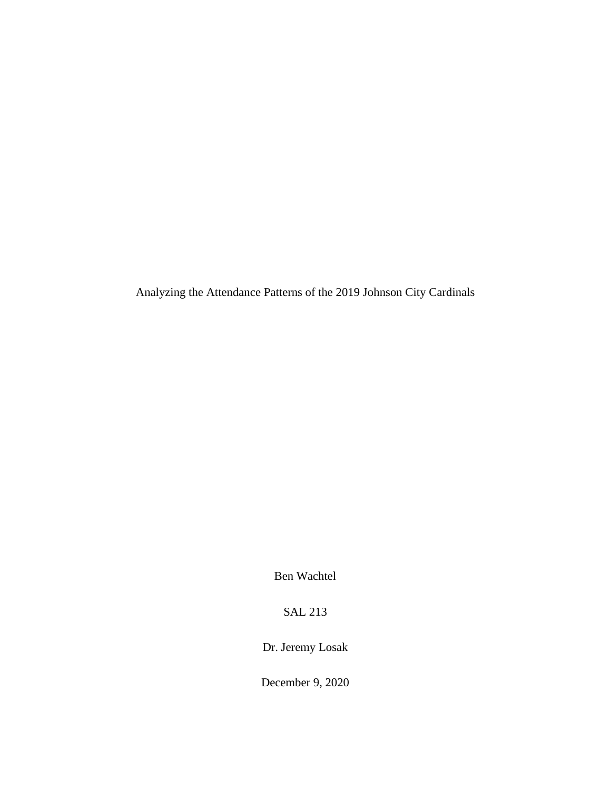Analyzing the Attendance Patterns of the 2019 Johnson City Cardinals

Ben Wachtel

SAL 213

Dr. Jeremy Losak

December 9, 2020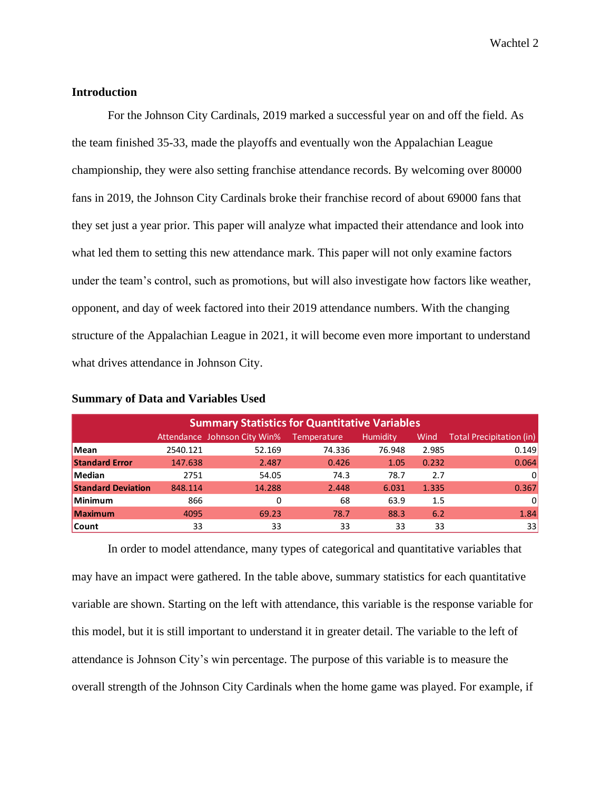Wachtel 2

### **Introduction**

For the Johnson City Cardinals, 2019 marked a successful year on and off the field. As the team finished 35-33, made the playoffs and eventually won the Appalachian League championship, they were also setting franchise attendance records. By welcoming over 80000 fans in 2019, the Johnson City Cardinals broke their franchise record of about 69000 fans that they set just a year prior. This paper will analyze what impacted their attendance and look into what led them to setting this new attendance mark. This paper will not only examine factors under the team's control, such as promotions, but will also investigate how factors like weather, opponent, and day of week factored into their 2019 attendance numbers. With the changing structure of the Appalachian League in 2021, it will become even more important to understand what drives attendance in Johnson City.

| <b>Summary Statistics for Quantitative Variables</b> |          |                              |                    |                 |       |                          |
|------------------------------------------------------|----------|------------------------------|--------------------|-----------------|-------|--------------------------|
|                                                      |          | Attendance Johnson City Win% | <b>Temperature</b> | <b>Humidity</b> | Wind  | Total Precipitation (in) |
| <b>Mean</b>                                          | 2540.121 | 52.169                       | 74.336             | 76.948          | 2.985 | 0.149                    |
| <b>Standard Error</b>                                | 147.638  | 2.487                        | 0.426              | 1.05            | 0.232 | 0.064                    |
| Median                                               | 2751     | 54.05                        | 74.3               | 78.7            | 2.7   | 0                        |
| <b>Standard Deviation</b>                            | 848.114  | 14.288                       | 2.448              | 6.031           | 1.335 | 0.367                    |
| Minimum                                              | 866      | 0                            | 68                 | 63.9            | 1.5   | 0                        |
| <b>Maximum</b>                                       | 4095     | 69.23                        | 78.7               | 88.3            | 6.2   | 1.84                     |
| <b>Count</b>                                         | 33       | 33                           | 33                 | 33              | 33    | 33                       |

#### **Summary of Data and Variables Used**

In order to model attendance, many types of categorical and quantitative variables that may have an impact were gathered. In the table above, summary statistics for each quantitative variable are shown. Starting on the left with attendance, this variable is the response variable for this model, but it is still important to understand it in greater detail. The variable to the left of attendance is Johnson City's win percentage. The purpose of this variable is to measure the overall strength of the Johnson City Cardinals when the home game was played. For example, if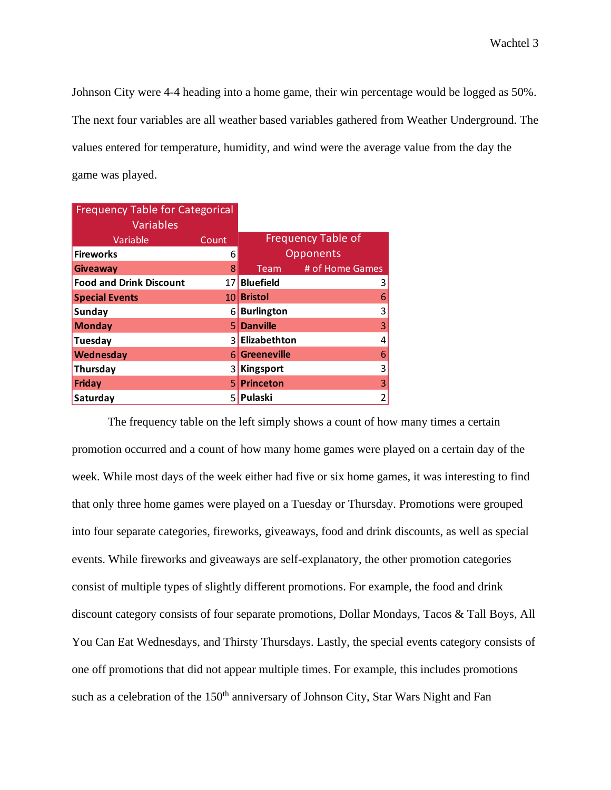Johnson City were 4-4 heading into a home game, their win percentage would be logged as 50%. The next four variables are all weather based variables gathered from Weather Underground. The values entered for temperature, humidity, and wind were the average value from the day the game was played.

| <b>Frequency Table for Categorical</b> |                 |                    |                           |
|----------------------------------------|-----------------|--------------------|---------------------------|
| <b>Variables</b>                       |                 |                    |                           |
| Variable                               | Count           |                    | <b>Frequency Table of</b> |
| <b>Fireworks</b>                       | 6               |                    | Opponents                 |
| <b>Giveaway</b>                        | 8               | Team               | # of Home Games           |
| <b>Food and Drink Discount</b>         | 17              | <b>Bluefield</b>   | 3                         |
| <b>Special Events</b>                  | 10 <sup>1</sup> | <b>Bristol</b>     | 6                         |
| <b>Sunday</b>                          | 61              | <b>Burlington</b>  | 3                         |
| <b>Monday</b>                          | 51              | <b>Danville</b>    | 3                         |
| Tuesday                                | 31              | Elizabethton       | 4                         |
| Wednesday                              | 61              | <b>Greeneville</b> | 6                         |
| Thursday                               | 3               | <b>Kingsport</b>   | 3                         |
| <b>Friday</b>                          | 51              | <b>Princeton</b>   | 3                         |
| Saturday                               | 5.              | Pulaski            | $\mathbf 2$               |

The frequency table on the left simply shows a count of how many times a certain promotion occurred and a count of how many home games were played on a certain day of the week. While most days of the week either had five or six home games, it was interesting to find that only three home games were played on a Tuesday or Thursday. Promotions were grouped into four separate categories, fireworks, giveaways, food and drink discounts, as well as special events. While fireworks and giveaways are self-explanatory, the other promotion categories consist of multiple types of slightly different promotions. For example, the food and drink discount category consists of four separate promotions, Dollar Mondays, Tacos & Tall Boys, All You Can Eat Wednesdays, and Thirsty Thursdays. Lastly, the special events category consists of one off promotions that did not appear multiple times. For example, this includes promotions such as a celebration of the  $150<sup>th</sup>$  anniversary of Johnson City, Star Wars Night and Fan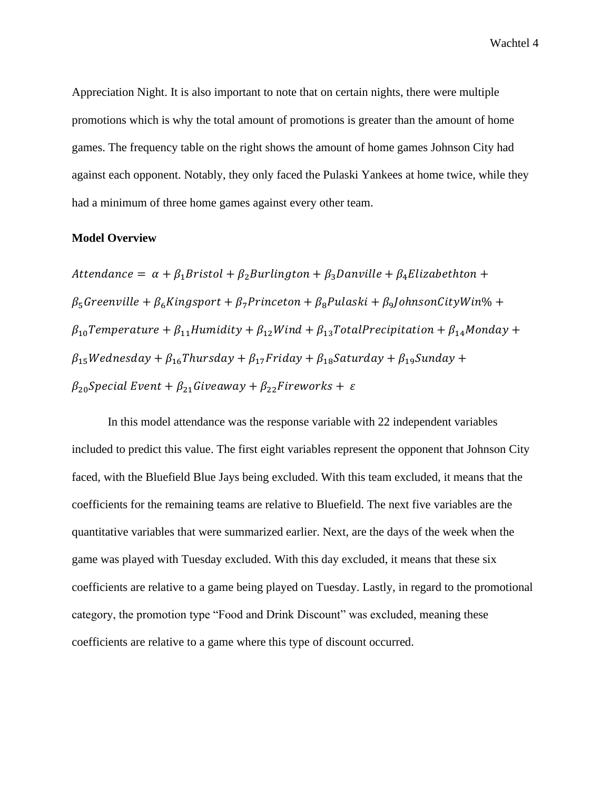Appreciation Night. It is also important to note that on certain nights, there were multiple promotions which is why the total amount of promotions is greater than the amount of home games. The frequency table on the right shows the amount of home games Johnson City had against each opponent. Notably, they only faced the Pulaski Yankees at home twice, while they had a minimum of three home games against every other team.

## **Model Overview**

Attendance =  $\alpha + \beta_1$ Bristol +  $\beta_2$ Burlington +  $\beta_3$ Danville +  $\beta_4$ Elizabethton +  $\beta_5$ Greenville +  $\beta_6$ Kingsport +  $\beta_7$ Princeton +  $\beta_8$ Pulaski +  $\beta_9$ JohnsonCityWin% +  $\beta_{10}$ Temperature +  $\beta_{11}$ Humidity +  $\beta_{12}$ Wind +  $\beta_{13}$ TotalPrecipitation +  $\beta_{14}$ Monday +  $\beta_{15}$ Wednesday +  $\beta_{16}$ Thursday +  $\beta_{17}$ Friday +  $\beta_{18}$ Saturday +  $\beta_{19}$ Sunday +  $\beta_{20}$ Special Event +  $\beta_{21}$ Giveaway +  $\beta_{22}$ Fireworks +  $\varepsilon$ 

In this model attendance was the response variable with 22 independent variables included to predict this value. The first eight variables represent the opponent that Johnson City faced, with the Bluefield Blue Jays being excluded. With this team excluded, it means that the coefficients for the remaining teams are relative to Bluefield. The next five variables are the quantitative variables that were summarized earlier. Next, are the days of the week when the game was played with Tuesday excluded. With this day excluded, it means that these six coefficients are relative to a game being played on Tuesday. Lastly, in regard to the promotional category, the promotion type "Food and Drink Discount" was excluded, meaning these coefficients are relative to a game where this type of discount occurred.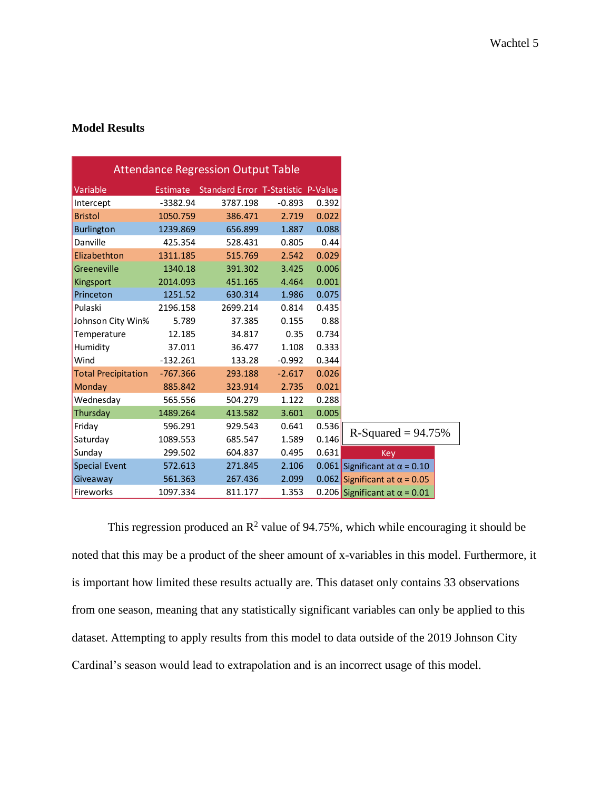# **Model Results**

| <b>Attendance Regression Output Table</b> |                 |                                           |          |       |                                      |
|-------------------------------------------|-----------------|-------------------------------------------|----------|-------|--------------------------------------|
| Variable                                  | <b>Estimate</b> | <b>Standard Error T-Statistic P-Value</b> |          |       |                                      |
| Intercept                                 | $-3382.94$      | 3787.198                                  | $-0.893$ | 0.392 |                                      |
| <b>Bristol</b>                            | 1050.759        | 386.471                                   | 2.719    | 0.022 |                                      |
| <b>Burlington</b>                         | 1239.869        | 656.899                                   | 1.887    | 0.088 |                                      |
| Danville                                  | 425.354         | 528.431                                   | 0.805    | 0.44  |                                      |
| Elizabethton                              | 1311.185        | 515.769                                   | 2.542    | 0.029 |                                      |
| Greeneville                               | 1340.18         | 391.302                                   | 3.425    | 0.006 |                                      |
| Kingsport                                 | 2014.093        | 451.165                                   | 4.464    | 0.001 |                                      |
| Princeton                                 | 1251.52         | 630.314                                   | 1.986    | 0.075 |                                      |
| Pulaski                                   | 2196.158        | 2699.214                                  | 0.814    | 0.435 |                                      |
| Johnson City Win%                         | 5.789           | 37.385                                    | 0.155    | 0.88  |                                      |
| Temperature                               | 12.185          | 34.817                                    | 0.35     | 0.734 |                                      |
| Humidity                                  | 37.011          | 36.477                                    | 1.108    | 0.333 |                                      |
| Wind                                      | $-132.261$      | 133.28                                    | $-0.992$ | 0.344 |                                      |
| <b>Total Precipitation</b>                | $-767.366$      | 293.188                                   | $-2.617$ | 0.026 |                                      |
| Monday                                    | 885.842         | 323.914                                   | 2.735    | 0.021 |                                      |
| Wednesday                                 | 565.556         | 504.279                                   | 1.122    | 0.288 |                                      |
| Thursday                                  | 1489.264        | 413.582                                   | 3.601    | 0.005 |                                      |
| Friday                                    | 596.291         | 929.543                                   | 0.641    | 0.536 |                                      |
| Saturday                                  | 1089.553        | 685.547                                   | 1.589    | 0.146 | $R-Squared = 94.75%$                 |
| Sunday                                    | 299.502         | 604.837                                   | 0.495    | 0.631 | Key                                  |
| <b>Special Event</b>                      | 572.613         | 271.845                                   | 2.106    |       | 0.061 Significant at $\alpha$ = 0.10 |
| Giveaway                                  | 561.363         | 267.436                                   | 2.099    |       | 0.062 Significant at $\alpha$ = 0.05 |
| Fireworks                                 | 1097.334        | 811.177                                   | 1.353    |       | 0.206 Significant at $\alpha$ = 0.01 |

This regression produced an  $\mathbb{R}^2$  value of 94.75%, which while encouraging it should be noted that this may be a product of the sheer amount of x-variables in this model. Furthermore, it is important how limited these results actually are. This dataset only contains 33 observations from one season, meaning that any statistically significant variables can only be applied to this dataset. Attempting to apply results from this model to data outside of the 2019 Johnson City Cardinal's season would lead to extrapolation and is an incorrect usage of this model.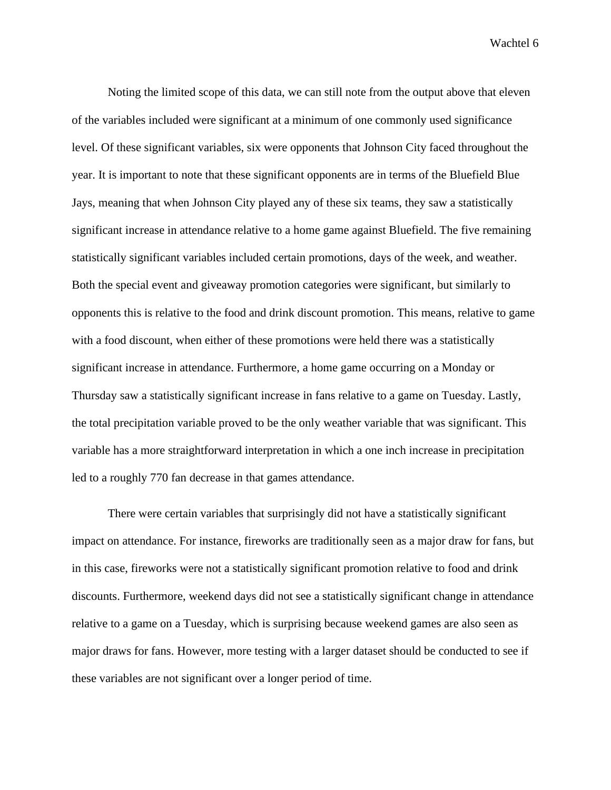Wachtel 6

Noting the limited scope of this data, we can still note from the output above that eleven of the variables included were significant at a minimum of one commonly used significance level. Of these significant variables, six were opponents that Johnson City faced throughout the year. It is important to note that these significant opponents are in terms of the Bluefield Blue Jays, meaning that when Johnson City played any of these six teams, they saw a statistically significant increase in attendance relative to a home game against Bluefield. The five remaining statistically significant variables included certain promotions, days of the week, and weather. Both the special event and giveaway promotion categories were significant, but similarly to opponents this is relative to the food and drink discount promotion. This means, relative to game with a food discount, when either of these promotions were held there was a statistically significant increase in attendance. Furthermore, a home game occurring on a Monday or Thursday saw a statistically significant increase in fans relative to a game on Tuesday. Lastly, the total precipitation variable proved to be the only weather variable that was significant. This variable has a more straightforward interpretation in which a one inch increase in precipitation led to a roughly 770 fan decrease in that games attendance.

There were certain variables that surprisingly did not have a statistically significant impact on attendance. For instance, fireworks are traditionally seen as a major draw for fans, but in this case, fireworks were not a statistically significant promotion relative to food and drink discounts. Furthermore, weekend days did not see a statistically significant change in attendance relative to a game on a Tuesday, which is surprising because weekend games are also seen as major draws for fans. However, more testing with a larger dataset should be conducted to see if these variables are not significant over a longer period of time.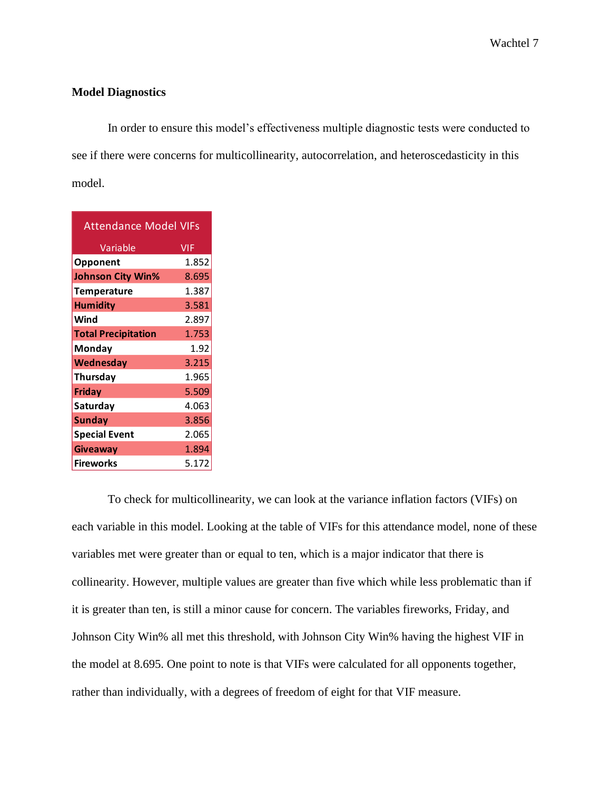### **Model Diagnostics**

In order to ensure this model's effectiveness multiple diagnostic tests were conducted to see if there were concerns for multicollinearity, autocorrelation, and heteroscedasticity in this model.

| <b>Attendance Model VIFs</b> |            |  |  |  |
|------------------------------|------------|--|--|--|
| Variable                     | <b>VIF</b> |  |  |  |
| Opponent                     | 1.852      |  |  |  |
| <b>Johnson City Win%</b>     | 8.695      |  |  |  |
| <b>Temperature</b>           | 1.387      |  |  |  |
| <b>Humidity</b>              | 3.581      |  |  |  |
| Wind                         | 2.897      |  |  |  |
| <b>Total Precipitation</b>   | 1.753      |  |  |  |
| Monday                       | 1.92       |  |  |  |
| Wednesday                    | 3.215      |  |  |  |
| Thursday                     | 1.965      |  |  |  |
| <b>Friday</b>                | 5.509      |  |  |  |
| Saturday                     | 4.063      |  |  |  |
| <b>Sunday</b>                | 3.856      |  |  |  |
| <b>Special Event</b>         | 2.065      |  |  |  |
| <b>Giveaway</b>              | 1.894      |  |  |  |
| <b>Fireworks</b>             | 5.172      |  |  |  |

To check for multicollinearity, we can look at the variance inflation factors (VIFs) on each variable in this model. Looking at the table of VIFs for this attendance model, none of these variables met were greater than or equal to ten, which is a major indicator that there is collinearity. However, multiple values are greater than five which while less problematic than if it is greater than ten, is still a minor cause for concern. The variables fireworks, Friday, and Johnson City Win% all met this threshold, with Johnson City Win% having the highest VIF in the model at 8.695. One point to note is that VIFs were calculated for all opponents together, rather than individually, with a degrees of freedom of eight for that VIF measure.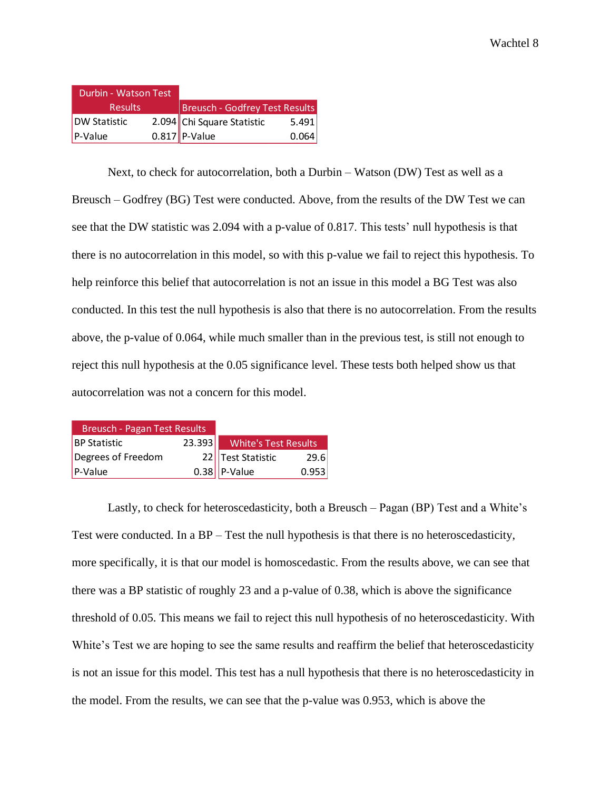| Durbin - Watson Test |  |                                |       |  |
|----------------------|--|--------------------------------|-------|--|
| <b>Results</b>       |  | Breusch - Godfrey Test Results |       |  |
| <b>DW Statistic</b>  |  | 2.094 Chi Square Statistic     | 5.491 |  |
| $P-Value$            |  | $0.817$ P-Value                | 0.064 |  |

Next, to check for autocorrelation, both a Durbin – Watson (DW) Test as well as a Breusch – Godfrey (BG) Test were conducted. Above, from the results of the DW Test we can see that the DW statistic was 2.094 with a p-value of 0.817. This tests' null hypothesis is that there is no autocorrelation in this model, so with this p-value we fail to reject this hypothesis. To help reinforce this belief that autocorrelation is not an issue in this model a BG Test was also conducted. In this test the null hypothesis is also that there is no autocorrelation. From the results above, the p-value of 0.064, while much smaller than in the previous test, is still not enough to reject this null hypothesis at the 0.05 significance level. These tests both helped show us that autocorrelation was not a concern for this model.

| <b>Breusch - Pagan Test Results</b> |        |                      |       |
|-------------------------------------|--------|----------------------|-------|
| <b>BP Statistic</b>                 | 23.393 | White's Test Results |       |
| Degrees of Freedom                  |        | 22 Test Statistic    | 29.6  |
| P-Value                             |        | $0.38$ P-Value       | 0.953 |

Lastly, to check for heteroscedasticity, both a Breusch – Pagan (BP) Test and a White's Test were conducted. In a BP – Test the null hypothesis is that there is no heteroscedasticity, more specifically, it is that our model is homoscedastic. From the results above, we can see that there was a BP statistic of roughly 23 and a p-value of 0.38, which is above the significance threshold of 0.05. This means we fail to reject this null hypothesis of no heteroscedasticity. With White's Test we are hoping to see the same results and reaffirm the belief that heteroscedasticity is not an issue for this model. This test has a null hypothesis that there is no heteroscedasticity in the model. From the results, we can see that the p-value was 0.953, which is above the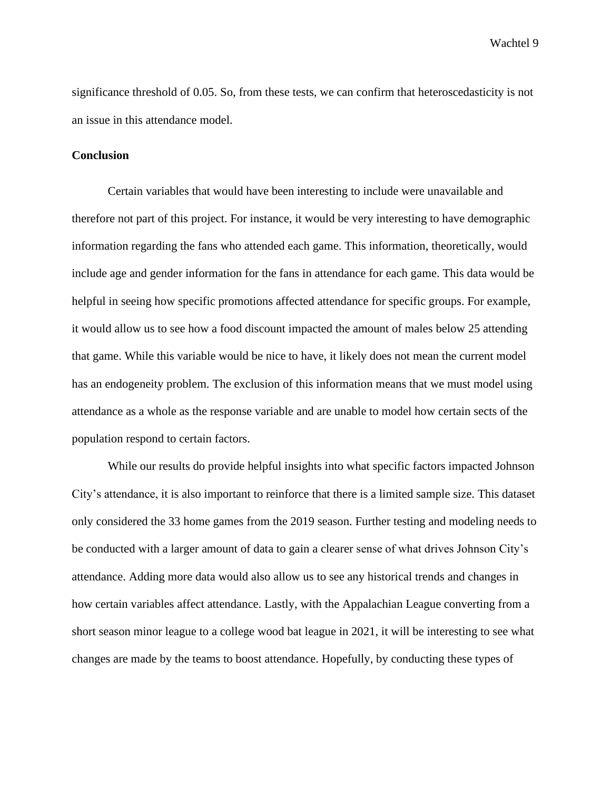Wachtel 9

significance threshold of 0.05. So, from these tests, we can confirm that heteroscedasticity is not an issue in this attendance model.

#### **Conclusion**

Certain variables that would have been interesting to include were unavailable and therefore not part of this project. For instance, it would be very interesting to have demographic information regarding the fans who attended each game. This information, theoretically, would include age and gender information for the fans in attendance for each game. This data would be helpful in seeing how specific promotions affected attendance for specific groups. For example, it would allow us to see how a food discount impacted the amount of males below 25 attending that game. While this variable would be nice to have, it likely does not mean the current model has an endogeneity problem. The exclusion of this information means that we must model using attendance as a whole as the response variable and are unable to model how certain sects of the population respond to certain factors.

While our results do provide helpful insights into what specific factors impacted Johnson City's attendance, it is also important to reinforce that there is a limited sample size. This dataset only considered the 33 home games from the 2019 season. Further testing and modeling needs to be conducted with a larger amount of data to gain a clearer sense of what drives Johnson City's attendance. Adding more data would also allow us to see any historical trends and changes in how certain variables affect attendance. Lastly, with the Appalachian League converting from a short season minor league to a college wood bat league in 2021, it will be interesting to see what changes are made by the teams to boost attendance. Hopefully, by conducting these types of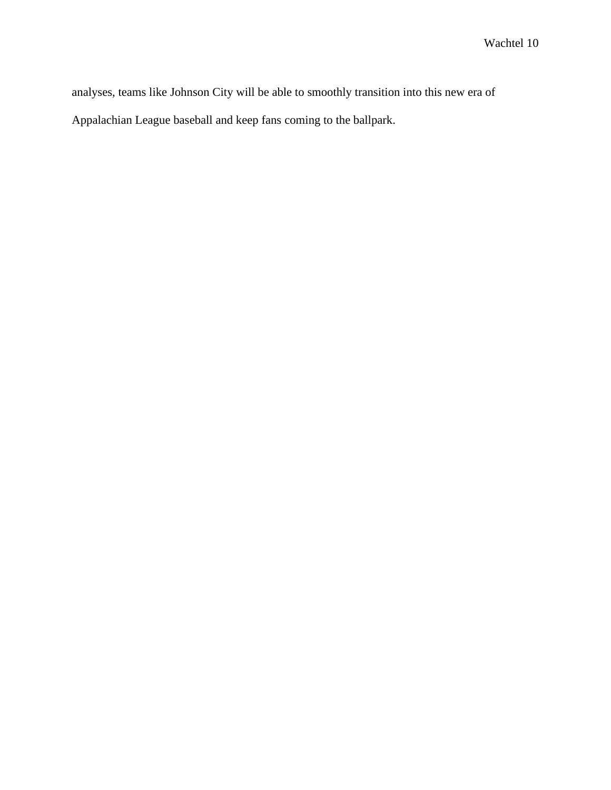analyses, teams like Johnson City will be able to smoothly transition into this new era of Appalachian League baseball and keep fans coming to the ballpark.